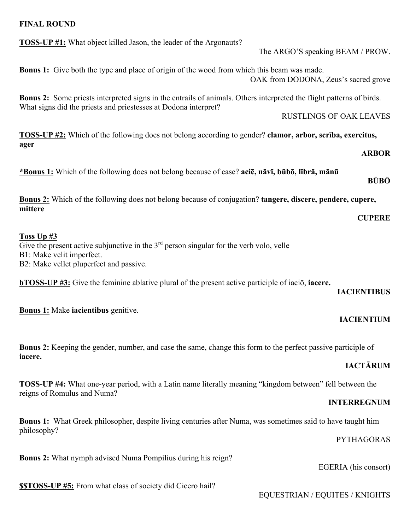### **FINAL ROUND**

**TOSS-UP #1:** What object killed Jason, the leader of the Argonauts? The ARGO'S speaking BEAM / PROW. **Bonus 1:** Give both the type and place of origin of the wood from which this beam was made. OAK from DODONA, Zeus's sacred grove **Bonus 2:** Some priests interpreted signs in the entrails of animals. Others interpreted the flight patterns of birds. What signs did the priests and priestesses at Dodona interpret? RUSTLINGS OF OAK LEAVES **TOSS-UP #2:** Which of the following does not belong according to gender? **clamor, arbor, scrība, exercitus, ager ARBOR**

\*Bonus 1: Which of the following does not belong because of case? acie, nāvī, būbō, lībrā, mānū

**Bonus 2:** Which of the following does not belong because of conjugation? **tangere, discere, pendere, cupere, mittere CUPERE**

#### **Toss Up #3**

Give the present active subjunctive in the  $3<sup>rd</sup>$  person singular for the verb volo, velle B1: Make velit imperfect. B2: Make vellet pluperfect and passive.

**bTOSS-UP #3:** Give the feminine ablative plural of the present active participle of iaciō, **iacere.**

### **IACIENTIBUS**

**IACIENTIUM**

**BŪBŌ**

**Bonus 1:** Make **iacientibus** genitive.

**Bonus 2:** Keeping the gender, number, and case the same, change this form to the perfect passive participle of **iacere.**

# **IACTĀRUM**

**TOSS-UP #4:** What one-year period, with a Latin name literally meaning "kingdom between" fell between the reigns of Romulus and Numa?

### **INTERREGNUM**

**Bonus 1:** What Greek philosopher, despite living centuries after Numa, was sometimes said to have taught him philosophy?

PYTHAGORAS

EGERIA (his consort)

**\$\$TOSS-UP #5:** From what class of society did Cicero hail?

**Bonus 2:** What nymph advised Numa Pompilius during his reign?

EQUESTRIAN / EQUITES / KNIGHTS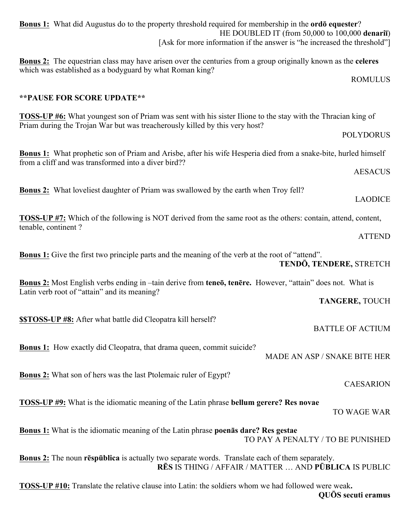| <b>Bonus 1:</b> What did Augustus do to the property threshold required for membership in the <b>ordo</b> equester?<br>HE DOUBLED IT (from 50,000 to 100,000 denarii)<br>[Ask for more information if the answer is "he increased the threshold"] |  |
|---------------------------------------------------------------------------------------------------------------------------------------------------------------------------------------------------------------------------------------------------|--|
| <b>Bonus 2:</b> The equestrian class may have arisen over the centuries from a group originally known as the celeres<br>which was established as a bodyguard by what Roman king?                                                                  |  |
| <b>ROMULUS</b>                                                                                                                                                                                                                                    |  |
| ** PAUSE FOR SCORE UPDATE**                                                                                                                                                                                                                       |  |
| <b>TOSS-UP #6:</b> What youngest son of Priam was sent with his sister Ilione to the stay with the Thracian king of<br>Priam during the Trojan War but was treacherously killed by this very host?                                                |  |
| <b>POLYDORUS</b>                                                                                                                                                                                                                                  |  |
| <b>Bonus 1:</b> What prophetic son of Priam and Arisbe, after his wife Hesperia died from a snake-bite, hurled himself<br>from a cliff and was transformed into a diver bird??                                                                    |  |
| <b>AESACUS</b>                                                                                                                                                                                                                                    |  |
| <b>Bonus 2:</b> What loveliest daughter of Priam was swallowed by the earth when Troy fell?<br><b>LAODICE</b>                                                                                                                                     |  |
| <b>TOSS-UP #7:</b> Which of the following is NOT derived from the same root as the others: contain, attend, content,                                                                                                                              |  |
| tenable, continent?<br><b>ATTEND</b>                                                                                                                                                                                                              |  |
| <b>Bonus 1:</b> Give the first two principle parts and the meaning of the verb at the root of "attend".<br><b>TENDŌ, TENDERE, STRETCH</b>                                                                                                         |  |
| Bonus 2: Most English verbs ending in -tain derive from teneō, tenēre. However, "attain" does not. What is<br>Latin verb root of "attain" and its meaning?                                                                                        |  |
| <b>TANGERE, TOUCH</b>                                                                                                                                                                                                                             |  |
| <b>SSTOSS-UP #8:</b> After what battle did Cleopatra kill herself?<br><b>BATTLE OF ACTIUM</b>                                                                                                                                                     |  |
| <b>Bonus 1:</b> How exactly did Cleopatra, that drama queen, commit suicide?<br>MADE AN ASP / SNAKE BITE HER                                                                                                                                      |  |
| <b>Bonus 2:</b> What son of hers was the last Ptolemaic ruler of Egypt?<br><b>CAESARION</b>                                                                                                                                                       |  |
| <b>TOSS-UP #9:</b> What is the idiomatic meaning of the Latin phrase bellum gerere? Res novae<br>TO WAGE WAR                                                                                                                                      |  |
| Bonus 1: What is the idiomatic meaning of the Latin phrase poenās dare? Res gestae<br>TO PAY A PENALTY / TO BE PUNISHED                                                                                                                           |  |
| <b>Bonus 2:</b> The noun respublica is actually two separate words. Translate each of them separately.<br>RĒS IS THING / AFFAIR / MATTER  AND PŪBLICA IS PUBLIC                                                                                   |  |
| <b>TOSS-UP</b> #10: Translate the relative clause into Latin: the soldiers whom we had followed were weak.<br>QUOS secuti eramus                                                                                                                  |  |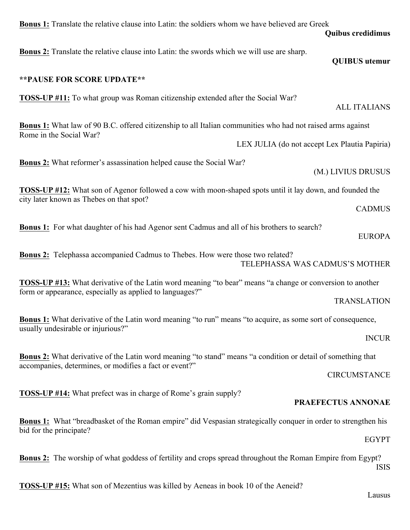| <b>Bonus 1:</b> Translate the relative clause into Latin: the soldiers whom we have believed are Greek<br><b>Quibus credidimus</b>                                            |  |  |
|-------------------------------------------------------------------------------------------------------------------------------------------------------------------------------|--|--|
| <b>Bonus 2:</b> Translate the relative clause into Latin: the swords which we will use are sharp.<br><b>QUIBUS</b> utemur                                                     |  |  |
| ** PAUSE FOR SCORE UPDATE**                                                                                                                                                   |  |  |
| <b>TOSS-UP</b> #11: To what group was Roman citizenship extended after the Social War?<br><b>ALL ITALIANS</b>                                                                 |  |  |
| <b>Bonus 1:</b> What law of 90 B.C. offered citizenship to all Italian communities who had not raised arms against<br>Rome in the Social War?                                 |  |  |
| LEX JULIA (do not accept Lex Plautia Papiria)                                                                                                                                 |  |  |
| <b>Bonus 2:</b> What reformer's assassination helped cause the Social War?<br>(M.) LIVIUS DRUSUS                                                                              |  |  |
| <b>TOSS-UP</b> #12: What son of Agenor followed a cow with moon-shaped spots until it lay down, and founded the<br>city later known as Thebes on that spot?                   |  |  |
| <b>CADMUS</b>                                                                                                                                                                 |  |  |
| <b>Bonus 1:</b> For what daughter of his had Agenor sent Cadmus and all of his brothers to search?<br><b>EUROPA</b>                                                           |  |  |
| <b>Bonus 2:</b> Telephassa accompanied Cadmus to Thebes. How were those two related?<br>TELEPHASSA WAS CADMUS'S MOTHER                                                        |  |  |
| <b>TOSS-UP #13:</b> What derivative of the Latin word meaning "to bear" means "a change or conversion to another<br>form or appearance, especially as applied to languages?"  |  |  |
| <b>TRANSLATION</b>                                                                                                                                                            |  |  |
| <b>Bonus 1:</b> What derivative of the Latin word meaning "to run" means "to acquire, as some sort of consequence,<br>usually undesirable or injurious?"                      |  |  |
| <b>INCUR</b>                                                                                                                                                                  |  |  |
| <b>Bonus 2:</b> What derivative of the Latin word meaning "to stand" means "a condition or detail of something that<br>accompanies, determines, or modifies a fact or event?" |  |  |
| <b>CIRCUMSTANCE</b>                                                                                                                                                           |  |  |
| <b>TOSS-UP</b> #14: What prefect was in charge of Rome's grain supply?<br>PRAEFECTUS ANNONAE                                                                                  |  |  |
| <b>Bonus 1:</b> What "breadbasket of the Roman empire" did Vespasian strategically conquer in order to strengthen his<br>bid for the principate?<br><b>EGYPT</b>              |  |  |
|                                                                                                                                                                               |  |  |
| <b>Bonus 2:</b> The worship of what goddess of fertility and crops spread throughout the Roman Empire from Egypt?                                                             |  |  |

**TOSS-UP #15:** What son of Mezentius was killed by Aeneas in book 10 of the Aeneid?

Lausus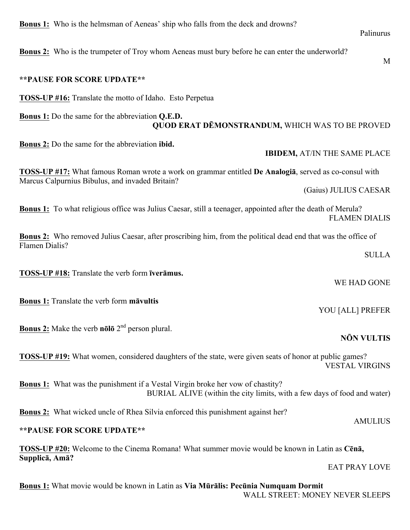**Bonus 2:** Who is the trumpeter of Troy whom Aeneas must bury before he can enter the underworld?

## **\*\*PAUSE FOR SCORE UPDATE\*\***

**TOSS-UP #16:** Translate the motto of Idaho. Esto Perpetua

# **Bonus 1:** Do the same for the abbreviation **Q.E.D. QUOD ERAT DĒMONSTRANDUM,** WHICH WAS TO BE PROVED

**Bonus 2:** Do the same for the abbreviation **ibid.**

**TOSS-UP #17:** What famous Roman wrote a work on grammar entitled **De Analogiā**, served as co-consul with Marcus Calpurnius Bibulus, and invaded Britain?

**Bonus 1:** To what religious office was Julius Caesar, still a teenager, appointed after the death of Merula? FLAMEN DIALIS

**Bonus 2:** Who removed Julius Caesar, after proscribing him, from the political dead end that was the office of Flamen Dialis?

**TOSS-UP #18:** Translate the verb form **īverāmus.**

**Bonus 1:** Translate the verb form **māvultis**

**Bonus 2:** Make the verb **nōlō** 2nd person plural.

**TOSS-UP #19:** What women, considered daughters of the state, were given seats of honor at public games? VESTAL VIRGINS

**Bonus 1:** What was the punishment if a Vestal Virgin broke her vow of chastity? BURIAL ALIVE (within the city limits, with a few days of food and water)

**Bonus 2:** What wicked uncle of Rhea Silvia enforced this punishment against her?

# **\*\*PAUSE FOR SCORE UPDATE\*\***

**TOSS-UP #20:** Welcome to the Cinema Romana! What summer movie would be known in Latin as **Cēnā, Supplicā, Amā?** 

**Bonus 1:** What movie would be known in Latin as **Via Mūrālis: Pecūnia Numquam Dormit** WALL STREET: MONEY NEVER SLEEPS

# **IBIDEM,** AT/IN THE SAME PLACE

(Gaius) JULIUS CAESAR

WE HAD GONE

YOU [ALL] PREFER

# **NŌN VULTIS**

EAT PRAY LOVE

**AMULIUS** 

M

**SULLA**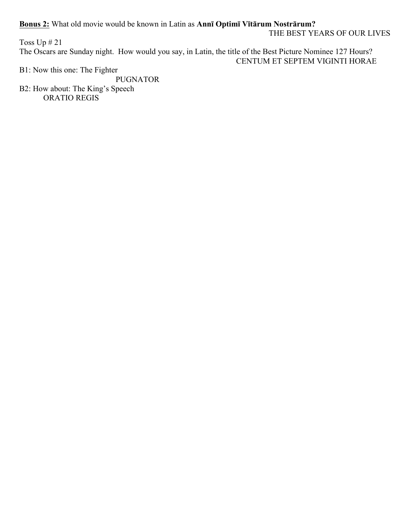**Bonus 2:** What old movie would be known in Latin as **Annī Optimī Vītārum Nostrārum?** 

THE BEST YEARS OF OUR LIVES

Toss Up # 21 The Oscars are Sunday night. How would you say, in Latin, the title of the Best Picture Nominee 127 Hours? CENTUM ET SEPTEM VIGINTI HORAE

B1: Now this one: The Fighter

PUGNATOR B2: How about: The King's Speech ORATIO REGIS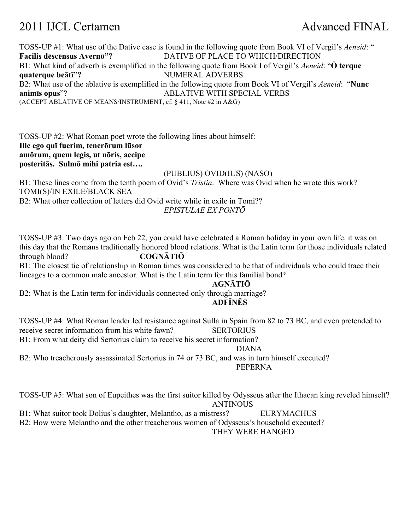# 2011 IJCL Certamen Advanced FINAL

TOSS-UP #1: What use of the Dative case is found in the following quote from Book VI of Vergil's *Aeneid*: " **Facilis dēscēnsus Avernō"?** DATIVE OF PLACE TO WHICH/DIRECTION B1: What kind of adverb is exemplified in the following quote from Book I of Vergil's *Aeneid*: "**Ō terque quaterque beātī"?** NUMERAL ADVERBS B2: What use of the ablative is exemplified in the following quote from Book VI of Vergil's *Aeneid*: "**Nunc animīs opus**"? ABLATIVE WITH SPECIAL VERBS (ACCEPT ABLATIVE OF MEANS/INSTRUMENT, cf. § 411, Note #2 in A&G)

TOSS-UP #2: What Roman poet wrote the following lines about himself: **Ille ego quī fuerim, tenerōrum lūsor amōrum, quem legis, ut nōris, accipe posteritās. Sulmō mihi patria est….** (PUBLIUS) OVID(IUS) (NASO)

B1: These lines come from the tenth poem of Ovid's *Tristia*. Where was Ovid when he wrote this work? TOMI(S)/IN EXILE/BLACK SEA B2: What other collection of letters did Ovid write while in exile in Tomi?? *EPISTULAE EX PONTŌ*

TOSS-UP #3: Two days ago on Feb 22, you could have celebrated a Roman holiday in your own life. it was on this day that the Romans traditionally honored blood relations. What is the Latin term for those individuals related through blood? **COGNĀTIŌ**

B1: The closest tie of relationship in Roman times was considered to be that of individuals who could trace their lineages to a common male ancestor. What is the Latin term for this familial bond?

#### **AGNĀTIŌ**

B2: What is the Latin term for individuals connected only through marriage?

### **ADFĪNĒS**

TOSS-UP #4: What Roman leader led resistance against Sulla in Spain from 82 to 73 BC, and even pretended to receive secret information from his white fawn? SERTORIUS

B1: From what deity did Sertorius claim to receive his secret information?

#### DIANA

B2: Who treacherously assassinated Sertorius in 74 or 73 BC, and was in turn himself executed? PEPERNA

TOSS-UP #5: What son of Eupeithes was the first suitor killed by Odysseus after the Ithacan king reveled himself? **ANTINOUS** 

B1: What suitor took Dolius's daughter, Melantho, as a mistress? EURYMACHUS

B2: How were Melantho and the other treacherous women of Odysseus's household executed?

THEY WERE HANGED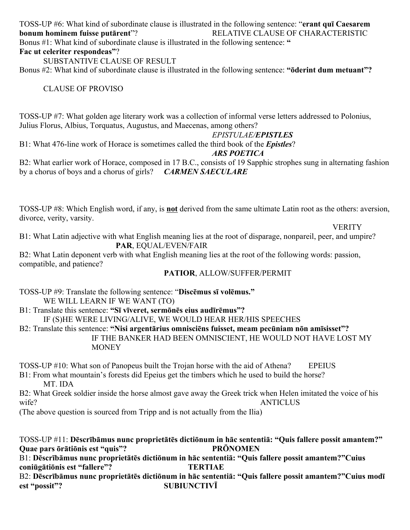TOSS-UP #6: What kind of subordinate clause is illustrated in the following sentence: "**erant quī Caesarem bonum hominem fuisse putārent**"? RELATIVE CLAUSE OF CHARACTERISTIC Bonus #1: What kind of subordinate clause is illustrated in the following sentence: **" Fac ut celeriter respondeas"**?

SUBSTANTIVE CLAUSE OF RESULT

Bonus #2: What kind of subordinate clause is illustrated in the following sentence: **"ōderint dum metuant"?**

CLAUSE OF PROVISO

TOSS-UP #7: What golden age literary work was a collection of informal verse letters addressed to Polonius, Julius Florus, Albius, Torquatus, Augustus, and Maecenas, among others?

### *EPISTULAE/EPISTLES*

B1: What 476-line work of Horace is sometimes called the third book of the *Epistles*?

### *ARS POETICA*

B2: What earlier work of Horace, composed in 17 B.C., consists of 19 Sapphic strophes sung in alternating fashion by a chorus of boys and a chorus of girls? *CARMEN SAECULARE*

TOSS-UP #8: Which English word, if any, is **not** derived from the same ultimate Latin root as the others: aversion, divorce, verity, varsity.

**VERITY** 

B1: What Latin adjective with what English meaning lies at the root of disparage, nonpareil, peer, and umpire? **PAR**, EQUAL/EVEN/FAIR

B2: What Latin deponent verb with what English meaning lies at the root of the following words: passion, compatible, and patience?

# **PATIOR**, ALLOW/SUFFER/PERMIT

TOSS-UP #9: Translate the following sentence: "**Discēmus sī volēmus."** WE WILL LEARN IF WE WANT (TO)

B1: Translate this sentence: **"Sī vīveret, sermōnēs eius audīrēmus"?**

IF (S)HE WERE LIVING/ALIVE, WE WOULD HEAR HER/HIS SPEECHES

B2: Translate this sentence: **"Nisi argentārius omnisciēns fuisset, meam pecūniam nōn amīsisset"?** IF THE BANKER HAD BEEN OMNISCIENT, HE WOULD NOT HAVE LOST MY

**MONEY** 

TOSS-UP #10: What son of Panopeus built the Trojan horse with the aid of Athena? EPEIUS

B1: From what mountain's forests did Epeius get the timbers which he used to build the horse? MT. IDA

B2: What Greek soldier inside the horse almost gave away the Greek trick when Helen imitated the voice of his wife? ANTICLUS

(The above question is sourced from Tripp and is not actually from the Ilia)

TOSS-UP #11: **Dēscrībāmus nunc proprietātēs dictiōnum in hāc sententiā: "Quis fallere possit amantem?" Quae pars ōrātiōnis est "quis"? PRŌNOMEN** B1: **Dēscrībāmus nunc proprietātēs dictiōnum in hāc sententiā: "Quis fallere possit amantem?"Cuius coniūgātiōnis est "fallere"? TERTIAE** B2: Dēscrībāmus nunc proprietātēs dictiōnum in hāc sententiā: "Quis fallere possit amantem?"Cuius modī **est "possit"? SUBIUNCTIVĪ**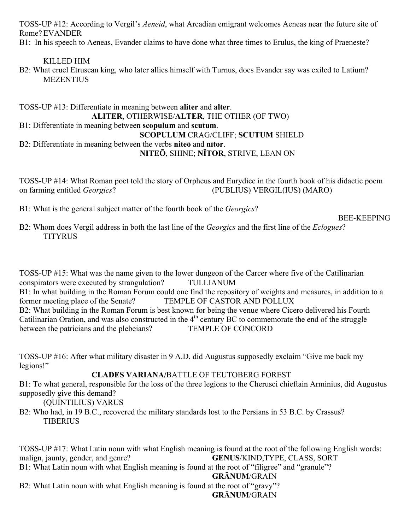TOSS-UP #12: According to Vergil's *Aeneid*, what Arcadian emigrant welcomes Aeneas near the future site of Rome? EVANDER

B1: In his speech to Aeneas, Evander claims to have done what three times to Erulus, the king of Praeneste?

# KILLED HIM

B2: What cruel Etruscan king, who later allies himself with Turnus, does Evander say was exiled to Latium? **MEZENTIUS** 

# TOSS-UP #13: Differentiate in meaning between **aliter** and **alter**. **ALITER**, OTHERWISE/**ALTER**, THE OTHER (OF TWO) B1: Differentiate in meaning between **scopulum** and **scutum**. **SCOPULUM** CRAG/CLIFF; **SCUTUM** SHIELD B2: Differentiate in meaning between the verbs **niteō** and **nītor**. **NITEŌ**, SHINE; **NĪTOR**, STRIVE, LEAN ON

TOSS-UP #14: What Roman poet told the story of Orpheus and Eurydice in the fourth book of his didactic poem on farming entitled *Georgics*? (PUBLIUS) VERGIL(IUS) (MARO)

B1: What is the general subject matter of the fourth book of the *Georgics*?

### BEE-KEEPING

B2: Whom does Vergil address in both the last line of the *Georgics* and the first line of the *Eclogues*? **TITYRUS** 

TOSS-UP #15: What was the name given to the lower dungeon of the Carcer where five of the Catilinarian conspirators were executed by strangulation? TULLIANUM B1: In what building in the Roman Forum could one find the repository of weights and measures, in addition to a former meeting place of the Senate? TEMPLE OF CASTOR AND POLLUX B2: What building in the Roman Forum is best known for being the venue where Cicero delivered his Fourth Catilinarian Oration, and was also constructed in the  $4<sup>th</sup>$  century BC to commemorate the end of the struggle between the patricians and the plebeians? TEMPLE OF CONCORD between the patricians and the plebeians?

TOSS-UP #16: After what military disaster in 9 A.D. did Augustus supposedly exclaim "Give me back my legions!"

# **CLADES VARIANA/**BATTLE OF TEUTOBERG FOREST

B1: To what general, responsible for the loss of the three legions to the Cherusci chieftain Arminius, did Augustus supposedly give this demand?

# (QUINTILIUS) VARUS

B2: Who had, in 19 B.C., recovered the military standards lost to the Persians in 53 B.C. by Crassus? **TIBERIUS** 

TOSS-UP #17: What Latin noun with what English meaning is found at the root of the following English words: malign, jaunty, gender, and genre? **GENUS**/KIND,TYPE, CLASS, SORT B1: What Latin noun with what English meaning is found at the root of "filigree" and "granule"? **GRĀNUM**/GRAIN B2: What Latin noun with what English meaning is found at the root of "gravy"? **GRĀNUM**/GRAIN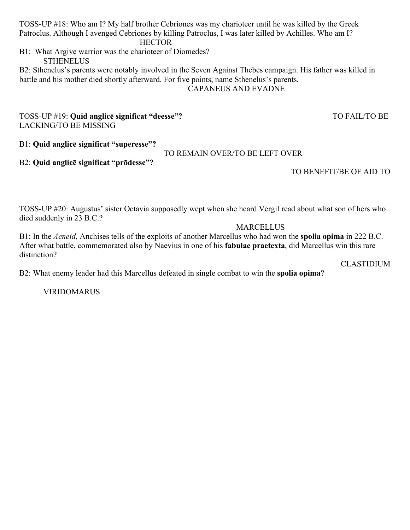TOSS-UP #18: Who am I? My half brother Cebriones was my charioteer until he was killed by the Greek Patroclus. Although I avenged Cebriones by killing Patroclus, I was later killed by Achilles. Who am I?

B1: What Argive warrior was the charioteer of Diomedes? **STHENELUS** 

B2: Sthenelus's parents were notably involved in the Seven Against Thebes campaign. His father was killed in battle and his mother died shortly afterward. For five points, name Sthenelus's parents. CAPANEUS AND EVADNE

TOSS-UP #19: **Quid anglicē significat "deesse"?** TO FAIL/TO BE LACKING/TO BE MISSING

B1: **Quid anglicē significat "superesse"?**

TO REMAIN OVER/TO BE LEFT OVER

# B2: **Quid anglicē significat "prōdesse"?**

TO BENEFIT/BE OF AID TO

TOSS-UP #20: Augustus' sister Octavia supposedly wept when she heard Vergil read about what son of hers who died suddenly in 23 B.C.?

**MARCELLUS** 

B1: In the *Aeneid*, Anchises tells of the exploits of another Marcellus who had won the **spolia opima** in 222 B.C. After what battle, commemorated also by Naevius in one of his **fabulae praetexta**, did Marcellus win this rare distinction?

CLASTIDIUM

B2: What enemy leader had this Marcellus defeated in single combat to win the **spolia opima**?

VIRIDOMARUS

# **HECTOR**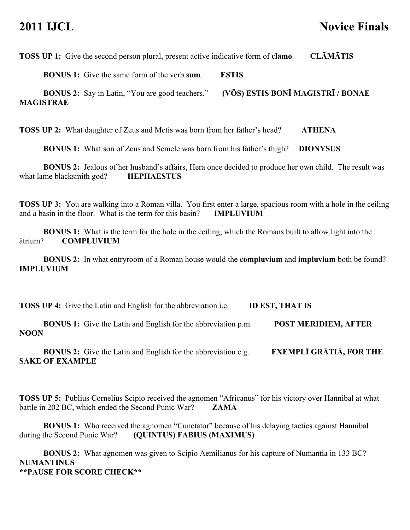# **2011 IJCL Novice Finals**

**TOSS UP 1:** Give the second person plural, present active indicative form of **clāmō**. **CLĀMĀTIS**

**BONUS 1:** Give the same form of the verb **sum**. **ESTIS**

**BONUS 2:** Say in Latin, "You are good teachers." **(VŌS) ESTIS BONĪ MAGISTRĪ / BONAE MAGISTRAE**

**TOSS UP 2:** What daughter of Zeus and Metis was born from her father's head? **ATHENA** 

**BONUS 1:** What son of Zeus and Semele was born from his father's thigh? **DIONYSUS**

**BONUS 2:** Jealous of her husband's affairs, Hera once decided to produce her own child. The result was what lame blacksmith god? **HEPHAESTUS**

**TOSS UP 3:** You are walking into a Roman villa. You first enter a large, spacious room with a hole in the ceiling and a basin in the floor. What is the term for this basin? **IMPLUVIUM**

**BONUS 1:** What is the term for the hole in the ceiling, which the Romans built to allow light into the ātrium? **COMPLUVIUM**

**BONUS 2:** In what entryroom of a Roman house would the **compluvium** and **impluvium** both be found? **IMPLUVIUM**

**TOSS UP 4:** Give the Latin and English for the abbreviation i.e. **ID EST, THAT IS**

**BONUS 1:** Give the Latin and English for the abbreviation p.m. **POST MERIDIEM, AFTER NOON**

**BONUS 2:** Give the Latin and English for the abbreviation e.g. **EXEMPLĪ GRĀTIĀ, FOR THE SAKE OF EXAMPLE**

**TOSS UP 5:** Publius Cornelius Scipio received the agnomen "Africanus" for his victory over Hannibal at what battle in 202 BC, which ended the Second Punic War? **ZAMA**

**BONUS 1:** Who received the agnomen "Cunctator" because of his delaying tactics against Hannibal during the Second Punic War? **(QUINTUS) FABIUS (MAXIMUS)**

**BONUS 2:** What agnomen was given to Scipio Aemilianus for his capture of Numantia in 133 BC? **NUMANTINUS \*\*PAUSE FOR SCORE CHECK\*\***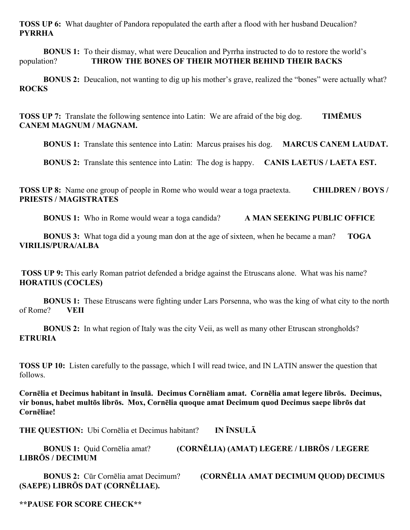**TOSS UP 6:** What daughter of Pandora repopulated the earth after a flood with her husband Deucalion? **PYRRHA**

**BONUS 1:** To their dismay, what were Deucalion and Pyrrha instructed to do to restore the world's population? **THROW THE BONES OF THEIR MOTHER BEHIND THEIR BACKS**

**BONUS 2:** Deucalion, not wanting to dig up his mother's grave, realized the "bones" were actually what? **ROCKS**

**TOSS UP 7:** Translate the following sentence into Latin: We are afraid of the big dog. **TIMĒMUS CANEM MAGNUM / MAGNAM.**

**BONUS 1:** Translate this sentence into Latin: Marcus praises his dog. **MARCUS CANEM LAUDAT.**

**BONUS 2:** Translate this sentence into Latin: The dog is happy. **CANIS LAETUS / LAETA EST.**

**TOSS UP 8:** Name one group of people in Rome who would wear a toga praetexta. **CHILDREN / BOYS / PRIESTS / MAGISTRATES**

**BONUS 1:** Who in Rome would wear a toga candida? **A MAN SEEKING PUBLIC OFFICE**

**BONUS 3:** What toga did a young man don at the age of sixteen, when he became a man? **TOGA VIRILIS/PURA/ALBA**

**TOSS UP 9:** This early Roman patriot defended a bridge against the Etruscans alone. What was his name? **HORATIUS (COCLES)**

**BONUS 1:** These Etruscans were fighting under Lars Porsenna, who was the king of what city to the north of Rome? **VEII**

**BONUS 2:** In what region of Italy was the city Veii, as well as many other Etruscan strongholds? **ETRURIA**

**TOSS UP 10:** Listen carefully to the passage, which I will read twice, and IN LATIN answer the question that follows.

**Cornēlia et Decimus habitant in īnsulā. Decimus Cornēliam amat. Cornēlia amat legere librōs. Decimus, vir bonus, habet multōs librōs. Mox, Cornēlia quoque amat Decimum quod Decimus saepe librōs dat Cornēliae!**

**THE QUESTION:** Ubi Cornēlia et Decimus habitant? **IN ĪNSULĀ**

| <b>BONUS 1:</b> Quid Cornelia amat? | (CORNĒLIA) (AMAT) LEGERE / LIBRŌS / LEGERE |
|-------------------------------------|--------------------------------------------|
| <b>LIBRŌS / DECIMUM</b>             |                                            |

**(SAEPE) LIBRŌS DAT (CORNĒLIAE).**

**BONUS 2:** Cūr Cornēlia amat Decimum? **(CORNĒLIA AMAT DECIMUM QUOD) DECIMUS** 

**\*\*PAUSE FOR SCORE CHECK\*\***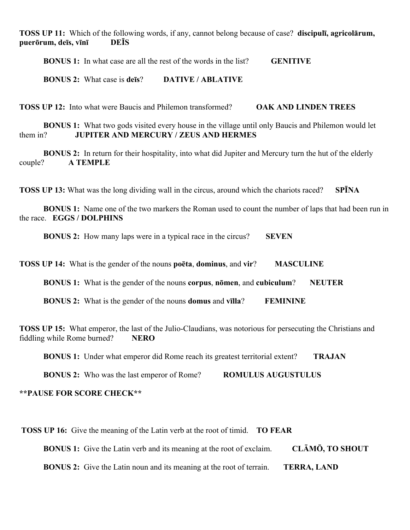**TOSS UP 11:** Which of the following words, if any, cannot belong because of case? **discipulī, agricolārum, puerōrum, deīs, vīnī DEĪS**

**BONUS 1:** In what case are all the rest of the words in the list? **GENITIVE**

**BONUS 2:** What case is **deīs**? **DATIVE / ABLATIVE**

**TOSS UP 12:** Into what were Baucis and Philemon transformed? **OAK AND LINDEN TREES**

**BONUS 1:** What two gods visited every house in the village until only Baucis and Philemon would let them in? **JUPITER AND MERCURY / ZEUS AND HERMES**

**BONUS 2:** In return for their hospitality, into what did Jupiter and Mercury turn the hut of the elderly couple? **A TEMPLE**

**TOSS UP 13:** What was the long dividing wall in the circus, around which the chariots raced? **SPĪNA**

**BONUS 1:** Name one of the two markers the Roman used to count the number of laps that had been run in the race. **EGGS / DOLPHINS**

**BONUS 2:** How many laps were in a typical race in the circus? **SEVEN** 

**TOSS UP 14:** What is the gender of the nouns **poēta**, **dominus**, and **vir**? **MASCULINE**

**BONUS 1:** What is the gender of the nouns **corpus**, **nōmen**, and **cubiculum**? **NEUTER**

**BONUS 2:** What is the gender of the nouns **domus** and **vīlla**? **FEMININE**

**TOSS UP 15:** What emperor, the last of the Julio-Claudians, was notorious for persecuting the Christians and fiddling while Rome burned? **NERO**

**BONUS 1:** Under what emperor did Rome reach its greatest territorial extent? **TRAJAN**

**BONUS 2:** Who was the last emperor of Rome? **ROMULUS AUGUSTULUS**

#### **\*\*PAUSE FOR SCORE CHECK\*\***

**TOSS UP 16:** Give the meaning of the Latin verb at the root of timid. **TO FEAR**

**BONUS 1:** Give the Latin verb and its meaning at the root of exclaim. **CLĀMŌ, TO SHOUT**

**BONUS 2:** Give the Latin noun and its meaning at the root of terrain. **TERRA, LAND**